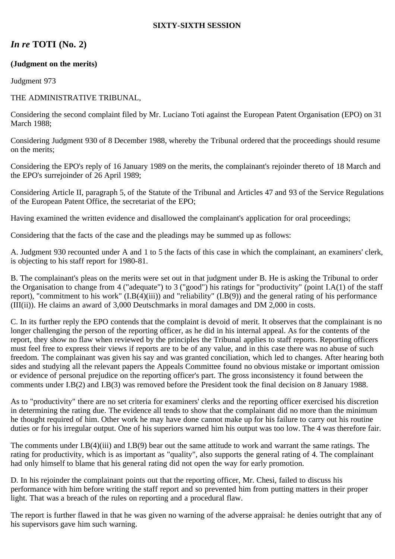## **SIXTY-SIXTH SESSION**

# *In re* **TOTI (No. 2)**

## **(Judgment on the merits)**

Judgment 973

## THE ADMINISTRATIVE TRIBUNAL,

Considering the second complaint filed by Mr. Luciano Toti against the European Patent Organisation (EPO) on 31 March 1988;

Considering Judgment 930 of 8 December 1988, whereby the Tribunal ordered that the proceedings should resume on the merits;

Considering the EPO's reply of 16 January 1989 on the merits, the complainant's rejoinder thereto of 18 March and the EPO's surrejoinder of 26 April 1989;

Considering Article II, paragraph 5, of the Statute of the Tribunal and Articles 47 and 93 of the Service Regulations of the European Patent Office, the secretariat of the EPO;

Having examined the written evidence and disallowed the complainant's application for oral proceedings;

Considering that the facts of the case and the pleadings may be summed up as follows:

A. Judgment 930 recounted under A and 1 to 5 the facts of this case in which the complainant, an examiners' clerk, is objecting to his staff report for 1980-81.

B. The complainant's pleas on the merits were set out in that judgment under B. He is asking the Tribunal to order the Organisation to change from 4 ("adequate") to 3 ("good") his ratings for "productivity" (point I.A(1) of the staff report), "commitment to his work"  $(I.B(4)(iii))$  and "reliability"  $(I.B(9))$  and the general rating of his performance (III(ii)). He claims an award of 3,000 Deutschmarks in moral damages and DM 2,000 in costs.

C. In its further reply the EPO contends that the complaint is devoid of merit. It observes that the complainant is no longer challenging the person of the reporting officer, as he did in his internal appeal. As for the contents of the report, they show no flaw when reviewed by the principles the Tribunal applies to staff reports. Reporting officers must feel free to express their views if reports are to be of any value, and in this case there was no abuse of such freedom. The complainant was given his say and was granted conciliation, which led to changes. After hearing both sides and studying all the relevant papers the Appeals Committee found no obvious mistake or important omission or evidence of personal prejudice on the reporting officer's part. The gross inconsistency it found between the comments under I.B(2) and I.B(3) was removed before the President took the final decision on 8 January 1988.

As to "productivity" there are no set criteria for examiners' clerks and the reporting officer exercised his discretion in determining the rating due. The evidence all tends to show that the complainant did no more than the minimum he thought required of him. Other work he may have done cannot make up for his failure to carry out his routine duties or for his irregular output. One of his superiors warned him his output was too low. The 4 was therefore fair.

The comments under I.B(4)(iii) and I.B(9) bear out the same attitude to work and warrant the same ratings. The rating for productivity, which is as important as "quality", also supports the general rating of 4. The complainant had only himself to blame that his general rating did not open the way for early promotion.

D. In his rejoinder the complainant points out that the reporting officer, Mr. Chesi, failed to discuss his performance with him before writing the staff report and so prevented him from putting matters in their proper light. That was a breach of the rules on reporting and a procedural flaw.

The report is further flawed in that he was given no warning of the adverse appraisal: he denies outright that any of his supervisors gave him such warning.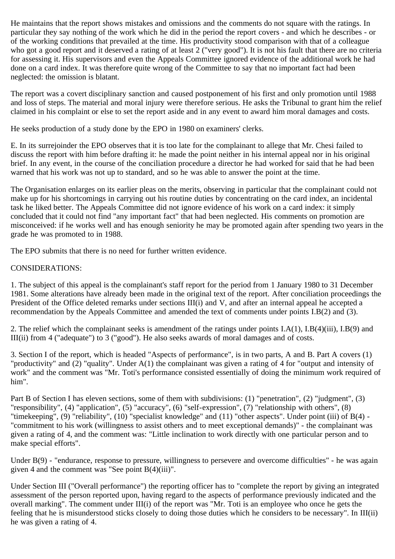He maintains that the report shows mistakes and omissions and the comments do not square with the ratings. In particular they say nothing of the work which he did in the period the report covers - and which he describes - or of the working conditions that prevailed at the time. His productivity stood comparison with that of a colleague who got a good report and it deserved a rating of at least 2 ("very good"). It is not his fault that there are no criteria for assessing it. His supervisors and even the Appeals Committee ignored evidence of the additional work he had done on a card index. It was therefore quite wrong of the Committee to say that no important fact had been neglected: the omission is blatant.

The report was a covert disciplinary sanction and caused postponement of his first and only promotion until 1988 and loss of steps. The material and moral injury were therefore serious. He asks the Tribunal to grant him the relief claimed in his complaint or else to set the report aside and in any event to award him moral damages and costs.

He seeks production of a study done by the EPO in 1980 on examiners' clerks.

E. In its surrejoinder the EPO observes that it is too late for the complainant to allege that Mr. Chesi failed to discuss the report with him before drafting it: he made the point neither in his internal appeal nor in his original brief. In any event, in the course of the conciliation procedure a director he had worked for said that he had been warned that his work was not up to standard, and so he was able to answer the point at the time.

The Organisation enlarges on its earlier pleas on the merits, observing in particular that the complainant could not make up for his shortcomings in carrying out his routine duties by concentrating on the card index, an incidental task he liked better. The Appeals Committee did not ignore evidence of his work on a card index: it simply concluded that it could not find "any important fact" that had been neglected. His comments on promotion are misconceived: if he works well and has enough seniority he may be promoted again after spending two years in the grade he was promoted to in 1988.

The EPO submits that there is no need for further written evidence.

#### CONSIDERATIONS:

1. The subject of this appeal is the complainant's staff report for the period from 1 January 1980 to 31 December 1981. Some alterations have already been made in the original text of the report. After conciliation proceedings the President of the Office deleted remarks under sections III(i) and V, and after an internal appeal he accepted a recommendation by the Appeals Committee and amended the text of comments under points I.B(2) and (3).

2. The relief which the complainant seeks is amendment of the ratings under points I.A(1), I.B(4)(iii), I.B(9) and III(ii) from 4 ("adequate") to 3 ("good"). He also seeks awards of moral damages and of costs.

3. Section I of the report, which is headed "Aspects of performance", is in two parts, A and B. Part A covers (1) "productivity" and (2) "quality". Under A(1) the complainant was given a rating of 4 for "output and intensity of work" and the comment was "Mr. Toti's performance consisted essentially of doing the minimum work required of him".

Part B of Section I has eleven sections, some of them with subdivisions: (1) "penetration", (2) "judgment", (3) "responsibility", (4) "application", (5) "accuracy", (6) "self-expression", (7) "relationship with others", (8) "timekeeping", (9) "reliability", (10) "specialist knowledge" and (11) "other aspects". Under point (iii) of B(4) - "commitment to his work (willingness to assist others and to meet exceptional demands)" - the complainant was given a rating of 4, and the comment was: "Little inclination to work directly with one particular person and to make special efforts".

Under B(9) - "endurance, response to pressure, willingness to persevere and overcome difficulties" - he was again given 4 and the comment was "See point  $B(4)(iii)$ ".

Under Section III ("Overall performance") the reporting officer has to "complete the report by giving an integrated assessment of the person reported upon, having regard to the aspects of performance previously indicated and the overall marking". The comment under III(i) of the report was "Mr. Toti is an employee who once he gets the feeling that he is misunderstood sticks closely to doing those duties which he considers to be necessary". In III(ii) he was given a rating of 4.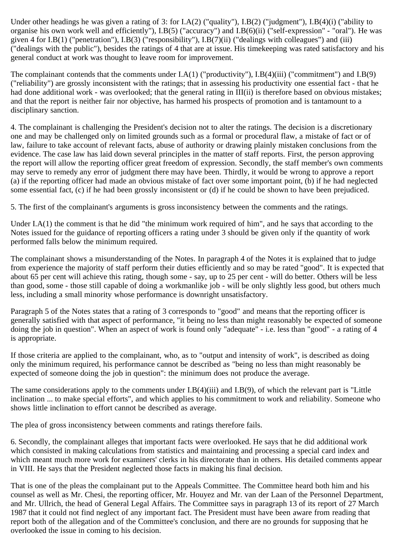Under other headings he was given a rating of 3: for I.A(2) ("quality"), I.B(2) ("judgment"), I.B(4)(i) ("ability to organise his own work well and efficiently"), I.B(5) ("accuracy") and I.B(6)(ii) ("self-expression" - "oral"). He was given 4 for I.B(1) ("penetration"), I.B(3) ("responsibility"), I.B(7)(ii) ("dealings with colleagues") and (iii) ("dealings with the public"), besides the ratings of 4 that are at issue. His timekeeping was rated satisfactory and his general conduct at work was thought to leave room for improvement.

The complainant contends that the comments under I.A(1) ("productivity"), I.B(4)(iii) ("commitment") and I.B(9) ("reliability") are grossly inconsistent with the ratings; that in assessing his productivity one essential fact - that he had done additional work - was overlooked; that the general rating in III(ii) is therefore based on obvious mistakes; and that the report is neither fair nor objective, has harmed his prospects of promotion and is tantamount to a disciplinary sanction.

4. The complainant is challenging the President's decision not to alter the ratings. The decision is a discretionary one and may be challenged only on limited grounds such as a formal or procedural flaw, a mistake of fact or of law, failure to take account of relevant facts, abuse of authority or drawing plainly mistaken conclusions from the evidence. The case law has laid down several principles in the matter of staff reports. First, the person approving the report will allow the reporting officer great freedom of expression. Secondly, the staff member's own comments may serve to remedy any error of judgment there may have been. Thirdly, it would be wrong to approve a report (a) if the reporting officer had made an obvious mistake of fact over some important point, (b) if he had neglected some essential fact, (c) if he had been grossly inconsistent or (d) if he could be shown to have been prejudiced.

5. The first of the complainant's arguments is gross inconsistency between the comments and the ratings.

Under I.A(1) the comment is that he did "the minimum work required of him", and he says that according to the Notes issued for the guidance of reporting officers a rating under 3 should be given only if the quantity of work performed falls below the minimum required.

The complainant shows a misunderstanding of the Notes. In paragraph 4 of the Notes it is explained that to judge from experience the majority of staff perform their duties efficiently and so may be rated "good". It is expected that about 65 per cent will achieve this rating, though some - say, up to 25 per cent - will do better. Others will be less than good, some - those still capable of doing a workmanlike job - will be only slightly less good, but others much less, including a small minority whose performance is downright unsatisfactory.

Paragraph 5 of the Notes states that a rating of 3 corresponds to "good" and means that the reporting officer is generally satisfied with that aspect of performance, "it being no less than might reasonably be expected of someone doing the job in question". When an aspect of work is found only "adequate" - i.e. less than "good" - a rating of 4 is appropriate.

If those criteria are applied to the complainant, who, as to "output and intensity of work", is described as doing only the minimum required, his performance cannot be described as "being no less than might reasonably be expected of someone doing the job in question": the minimum does not produce the average.

The same considerations apply to the comments under I.B(4)(iii) and I.B(9), of which the relevant part is "Little inclination ... to make special efforts", and which applies to his commitment to work and reliability. Someone who shows little inclination to effort cannot be described as average.

The plea of gross inconsistency between comments and ratings therefore fails.

6. Secondly, the complainant alleges that important facts were overlooked. He says that he did additional work which consisted in making calculations from statistics and maintaining and processing a special card index and which meant much more work for examiners' clerks in his directorate than in others. His detailed comments appear in VIII. He says that the President neglected those facts in making his final decision.

That is one of the pleas the complainant put to the Appeals Committee. The Committee heard both him and his counsel as well as Mr. Chesi, the reporting officer, Mr. Houyez and Mr. van der Laan of the Personnel Department, and Mr. Ullrich, the head of General Legal Affairs. The Committee says in paragraph 13 of its report of 27 March 1987 that it could not find neglect of any important fact. The President must have been aware from reading that report both of the allegation and of the Committee's conclusion, and there are no grounds for supposing that he overlooked the issue in coming to his decision.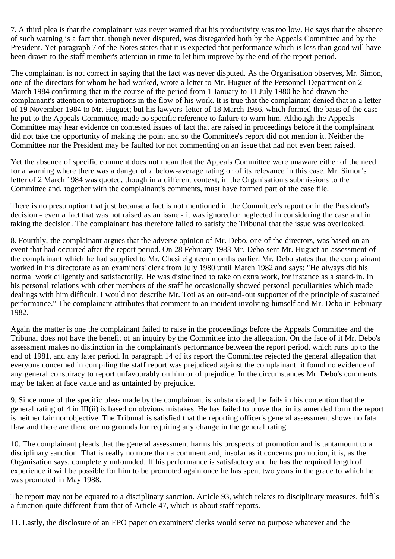7. A third plea is that the complainant was never warned that his productivity was too low. He says that the absence of such warning is a fact that, though never disputed, was disregarded both by the Appeals Committee and by the President. Yet paragraph 7 of the Notes states that it is expected that performance which is less than good will have been drawn to the staff member's attention in time to let him improve by the end of the report period.

The complainant is not correct in saying that the fact was never disputed. As the Organisation observes, Mr. Simon, one of the directors for whom he had worked, wrote a letter to Mr. Huguet of the Personnel Department on 2 March 1984 confirming that in the course of the period from 1 January to 11 July 1980 he had drawn the complainant's attention to interruptions in the flow of his work. It is true that the complainant denied that in a letter of 19 November 1984 to Mr. Huguet; but his lawyers' letter of 18 March 1986, which formed the basis of the case he put to the Appeals Committee, made no specific reference to failure to warn him. Although the Appeals Committee may hear evidence on contested issues of fact that are raised in proceedings before it the complainant did not take the opportunity of making the point and so the Committee's report did not mention it. Neither the Committee nor the President may be faulted for not commenting on an issue that had not even been raised.

Yet the absence of specific comment does not mean that the Appeals Committee were unaware either of the need for a warning where there was a danger of a below-average rating or of its relevance in this case. Mr. Simon's letter of 2 March 1984 was quoted, though in a different context, in the Organisation's submissions to the Committee and, together with the complainant's comments, must have formed part of the case file.

There is no presumption that just because a fact is not mentioned in the Committee's report or in the President's decision - even a fact that was not raised as an issue - it was ignored or neglected in considering the case and in taking the decision. The complainant has therefore failed to satisfy the Tribunal that the issue was overlooked.

8. Fourthly, the complainant argues that the adverse opinion of Mr. Debo, one of the directors, was based on an event that had occurred after the report period. On 28 February 1983 Mr. Debo sent Mr. Huguet an assessment of the complainant which he had supplied to Mr. Chesi eighteen months earlier. Mr. Debo states that the complainant worked in his directorate as an examiners' clerk from July 1980 until March 1982 and says: "He always did his normal work diligently and satisfactorily. He was disinclined to take on extra work, for instance as a stand-in. In his personal relations with other members of the staff he occasionally showed personal peculiarities which made dealings with him difficult. I would not describe Mr. Toti as an out-and-out supporter of the principle of sustained performance." The complainant attributes that comment to an incident involving himself and Mr. Debo in February 1982.

Again the matter is one the complainant failed to raise in the proceedings before the Appeals Committee and the Tribunal does not have the benefit of an inquiry by the Committee into the allegation. On the face of it Mr. Debo's assessment makes no distinction in the complainant's performance between the report period, which runs up to the end of 1981, and any later period. In paragraph 14 of its report the Committee rejected the general allegation that everyone concerned in compiling the staff report was prejudiced against the complainant: it found no evidence of any general conspiracy to report unfavourably on him or of prejudice. In the circumstances Mr. Debo's comments may be taken at face value and as untainted by prejudice.

9. Since none of the specific pleas made by the complainant is substantiated, he fails in his contention that the general rating of 4 in III(ii) is based on obvious mistakes. He has failed to prove that in its amended form the report is neither fair nor objective. The Tribunal is satisfied that the reporting officer's general assessment shows no fatal flaw and there are therefore no grounds for requiring any change in the general rating.

10. The complainant pleads that the general assessment harms his prospects of promotion and is tantamount to a disciplinary sanction. That is really no more than a comment and, insofar as it concerns promotion, it is, as the Organisation says, completely unfounded. If his performance is satisfactory and he has the required length of experience it will be possible for him to be promoted again once he has spent two years in the grade to which he was promoted in May 1988.

The report may not be equated to a disciplinary sanction. Article 93, which relates to disciplinary measures, fulfils a function quite different from that of Article 47, which is about staff reports.

11. Lastly, the disclosure of an EPO paper on examiners' clerks would serve no purpose whatever and the